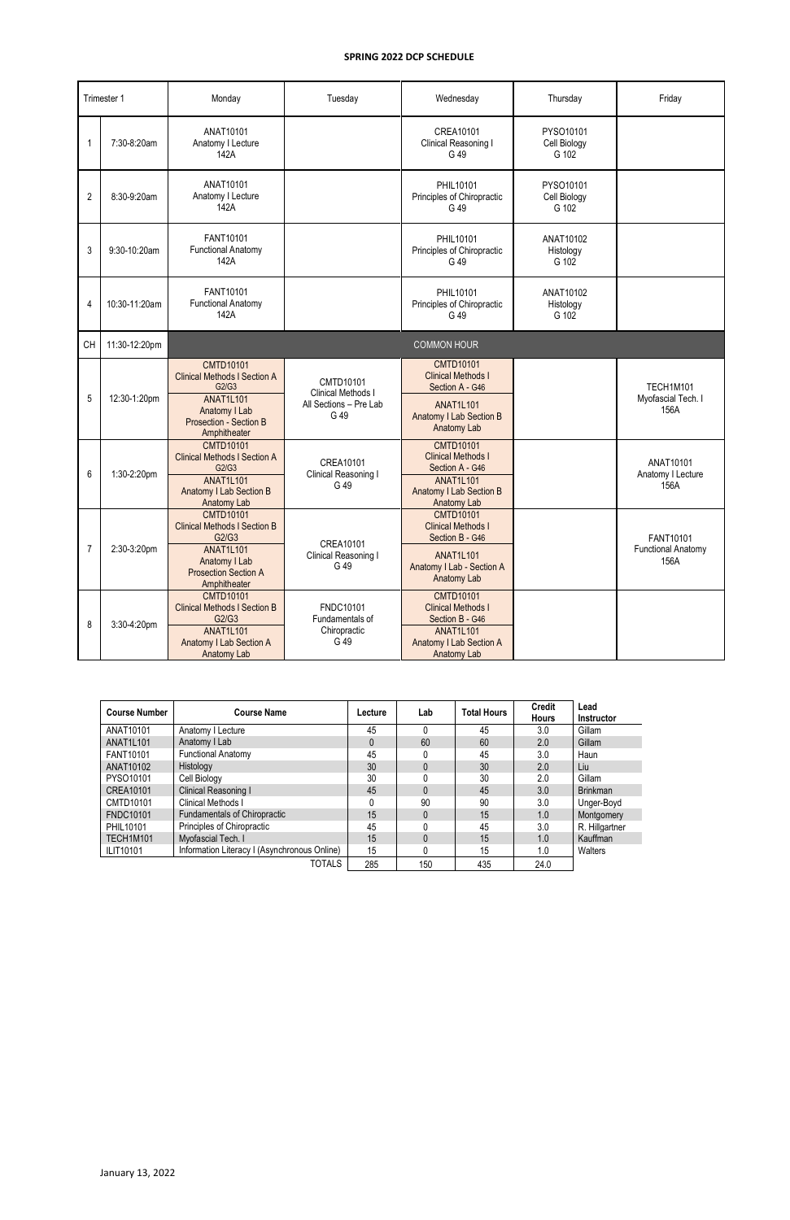|                | Trimester 1   | Monday                                                                                                                                                 | Tuesday                                                           | Wednesday                                                                                                                             | Thursday                           | Friday                                         |
|----------------|---------------|--------------------------------------------------------------------------------------------------------------------------------------------------------|-------------------------------------------------------------------|---------------------------------------------------------------------------------------------------------------------------------------|------------------------------------|------------------------------------------------|
| 1              | 7:30-8:20am   | ANAT10101<br>Anatomy I Lecture<br>142A                                                                                                                 |                                                                   | CREA10101<br>Clinical Reasoning I<br>G 49                                                                                             | PYSO10101<br>Cell Biology<br>G 102 |                                                |
| $\overline{2}$ | 8:30-9:20am   | ANAT10101<br>Anatomy I Lecture<br>142A                                                                                                                 |                                                                   | PHIL10101<br>Principles of Chiropractic<br>G 49                                                                                       | PYSO10101<br>Cell Biology<br>G 102 |                                                |
| 3              | 9:30-10:20am  | FANT10101<br><b>Functional Anatomy</b><br>142A                                                                                                         |                                                                   | PHIL10101<br>Principles of Chiropractic<br>G 49                                                                                       | ANAT10102<br>Histology<br>G 102    |                                                |
| 4              | 10:30-11:20am | FANT10101<br><b>Functional Anatomy</b><br>142A                                                                                                         |                                                                   | PHIL10101<br>Principles of Chiropractic<br>G 49                                                                                       | ANAT10102<br>Histology<br>G 102    |                                                |
| CH             | 11:30-12:20pm |                                                                                                                                                        |                                                                   |                                                                                                                                       |                                    |                                                |
| 5              | 12:30-1:20pm  | <b>CMTD10101</b><br><b>Clinical Methods I Section A</b><br>G2/G3<br><b>ANAT1L101</b><br>Anatomy I Lab<br><b>Prosection - Section B</b><br>Amphitheater | CMTD10101<br>Clinical Methods I<br>All Sections - Pre Lab<br>G 49 | <b>CMTD10101</b><br><b>Clinical Methods I</b><br>Section A - G46<br><b>ANAT1L101</b><br><b>Anatomy I Lab Section B</b><br>Anatomy Lab |                                    | TECH1M101<br>Myofascial Tech. I<br>156A        |
| 6              | 1:30-2:20pm   | <b>CMTD10101</b><br><b>Clinical Methods I Section A</b><br>G2/G3<br><b>ANAT1L101</b><br><b>Anatomy I Lab Section B</b><br>Anatomy Lab                  | CREA10101<br>Clinical Reasoning I<br>G 49                         | <b>CMTD10101</b><br><b>Clinical Methods I</b><br>Section A - G46<br><b>ANAT1L101</b><br>Anatomy I Lab Section B<br>Anatomy Lab        |                                    | ANAT10101<br>Anatomy I Lecture<br>156A         |
| $\overline{7}$ | 2:30-3:20pm   | <b>CMTD10101</b><br><b>Clinical Methods I Section B</b><br>G2/G3<br><b>ANAT1L101</b><br>Anatomy I Lab<br><b>Prosection Section A</b><br>Amphitheater   | CREA10101<br>Clinical Reasoning I<br>G 49                         | <b>CMTD10101</b><br><b>Clinical Methods I</b><br>Section B - G46<br><b>ANAT1L101</b><br>Anatomy I Lab - Section A<br>Anatomy Lab      |                                    | FANT10101<br><b>Functional Anatomy</b><br>156A |
| 8              | 3:30-4:20pm   | <b>CMTD10101</b><br><b>Clinical Methods I Section B</b><br>G2/G3<br><b>ANAT1L101</b><br>Anatomy I Lab Section A<br>Anatomy Lab                         | FNDC10101<br>Fundamentals of<br>Chiropractic<br>G 49              | <b>CMTD10101</b><br><b>Clinical Methods I</b><br>Section B - G46<br><b>ANAT1L101</b><br>Anatomy I Lab Section A<br>Anatomy Lab        |                                    |                                                |

| <b>Course Number</b> | <b>Course Name</b>                           | Lecture  | Lab | <b>Total Hours</b> | <b>Credit</b><br><b>Hours</b> | Lead<br><b>Instructor</b> |
|----------------------|----------------------------------------------|----------|-----|--------------------|-------------------------------|---------------------------|
| ANAT10101            | Anatomy I Lecture                            | 45       |     | 45                 | 3.0                           | Gillam                    |
| ANAT1L101            | Anatomy I Lab                                | $\Omega$ | 60  | 60                 | 2.0                           | Gillam                    |
| FANT10101            | <b>Functional Anatomy</b>                    | 45       |     | 45                 | 3.0                           | Haun                      |
| ANAT10102            | Histology                                    | 30       |     | 30                 | 2.0                           | Liu                       |
| PYSO10101            | Cell Biology                                 | 30       |     | 30                 | 2.0                           | Gillam                    |
| CREA10101            | Clinical Reasoning I                         | 45       |     | 45                 | 3.0                           | <b>Brinkman</b>           |
| CMTD10101            | Clinical Methods I                           | 0        | 90  | 90                 | 3.0                           | Unger-Boyd                |
| <b>FNDC10101</b>     | Fundamentals of Chiropractic                 | 15       |     | 15                 | 1.0                           | Montgomery                |
| PHIL10101            | Principles of Chiropractic                   | 45       |     | 45                 | 3.0                           | R. Hillgartner            |
| TECH1M101            | Myofascial Tech. I                           | 15       |     | 15                 | 1.0                           | Kauffman                  |
| <b>ILIT10101</b>     | Information Literacy I (Asynchronous Online) | 15       |     | 15                 | 1.0                           | Walters                   |
|                      | TOTALS                                       | 285      | 150 | 435                | 24.0                          |                           |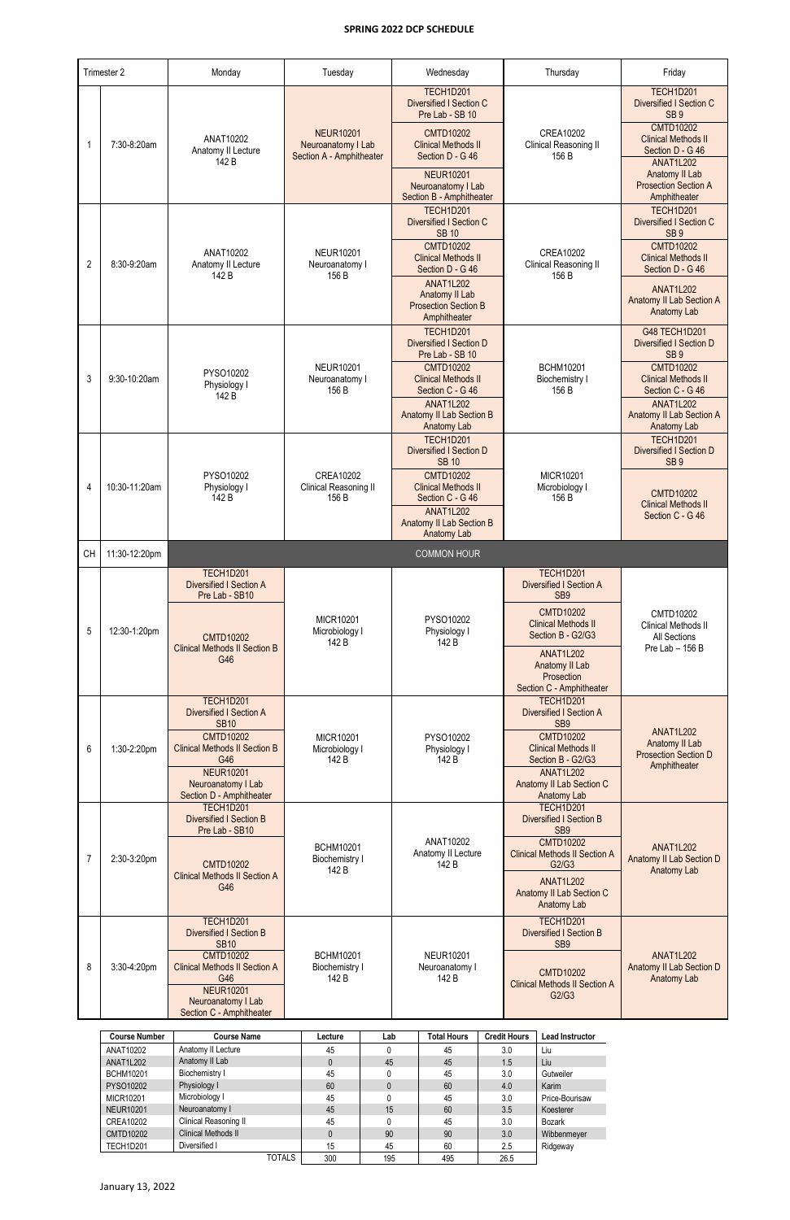|                | Trimester 2   | Monday                                                                              | Tuesday                                                            | Wednesday                                                                              | Thursday                                                                         | Friday                                                                                                    |
|----------------|---------------|-------------------------------------------------------------------------------------|--------------------------------------------------------------------|----------------------------------------------------------------------------------------|----------------------------------------------------------------------------------|-----------------------------------------------------------------------------------------------------------|
|                |               |                                                                                     |                                                                    | <b>TECH1D201</b><br>Diversified I Section C                                            |                                                                                  | TECH1D201<br>Diversified I Section C                                                                      |
| -1             | 7:30-8:20am   | ANAT10202<br>Anatomy II Lecture<br>142 B                                            | <b>NEUR10201</b><br>Neuroanatomy I Lab<br>Section A - Amphitheater | Pre Lab - SB 10<br><b>CMTD10202</b><br><b>Clinical Methods II</b><br>Section D - G 46  | <b>CREA10202</b><br>Clinical Reasoning II<br>156 B                               | SB <sub>9</sub><br><b>CMTD10202</b><br><b>Clinical Methods II</b><br>Section D - G 46<br><b>ANAT1L202</b> |
|                |               |                                                                                     |                                                                    | <b>NEUR10201</b><br>Neuroanatomy I Lab<br>Section B - Amphitheater                     |                                                                                  | Anatomy II Lab<br><b>Prosection Section A</b><br>Amphitheater                                             |
|                |               |                                                                                     |                                                                    | <b>TECH1D201</b><br><b>Diversified I Section C</b><br><b>SB 10</b>                     |                                                                                  | <b>TECH1D201</b><br><b>Diversified I Section C</b><br>SB <sub>9</sub>                                     |
| $\overline{2}$ | 8:30-9:20am   | ANAT10202<br>Anatomy II Lecture<br>142 B                                            | <b>NEUR10201</b><br>Neuroanatomy I<br>156 B                        | <b>CMTD10202</b><br><b>Clinical Methods II</b><br>Section D - G 46                     | <b>CREA10202</b><br>Clinical Reasoning II<br>156 B                               | <b>CMTD10202</b><br><b>Clinical Methods II</b><br>Section D - G 46                                        |
|                |               |                                                                                     |                                                                    | <b>ANAT1L202</b><br>Anatomy II Lab<br><b>Prosection Section B</b><br>Amphitheater      |                                                                                  | <b>ANAT1L202</b><br>Anatomy II Lab Section A<br>Anatomy Lab                                               |
|                |               |                                                                                     |                                                                    | <b>TECH1D201</b><br>Diversified I Section D<br>Pre Lab - SB 10                         |                                                                                  | G48 TECH1D201<br>Diversified I Section D<br>SB <sub>9</sub>                                               |
| 3              | 9:30-10:20am  | PYSO10202<br>Physiology I<br>142 B                                                  | <b>NEUR10201</b><br>Neuroanatomy I<br>156 B                        | <b>CMTD10202</b><br><b>Clinical Methods II</b><br>Section C - G 46<br><b>ANAT1L202</b> | <b>BCHM10201</b><br>Biochemistry I<br>156 B                                      | <b>CMTD10202</b><br><b>Clinical Methods II</b><br>Section C - G 46<br><b>ANAT1L202</b>                    |
|                |               |                                                                                     |                                                                    | <b>Anatomy II Lab Section B</b><br>Anatomy Lab                                         |                                                                                  | Anatomy II Lab Section A<br>Anatomy Lab                                                                   |
|                |               |                                                                                     |                                                                    | TECH1D201<br><b>Diversified I Section D</b><br><b>SB 10</b>                            |                                                                                  | TECH1D201<br>Diversified I Section D<br>SB <sub>9</sub>                                                   |
| 4              | 10:30-11:20am | PYSO10202<br>Physiology I<br>142 B                                                  | <b>CREA10202</b><br>Clinical Reasoning II<br>156 B                 | <b>CMTD10202</b><br><b>Clinical Methods II</b><br>Section C - G 46                     | MICR10201<br>Microbiology I<br>156 B                                             | <b>CMTD10202</b><br><b>Clinical Methods II</b>                                                            |
|                |               |                                                                                     |                                                                    | <b>ANAT1L202</b><br><b>Anatomy II Lab Section B</b><br>Anatomy Lab                     |                                                                                  | Section C - G 46                                                                                          |
|                |               |                                                                                     |                                                                    |                                                                                        |                                                                                  |                                                                                                           |
| <b>CH</b>      | 11:30-12:20pm |                                                                                     |                                                                    | <b>COMMON HOUR</b>                                                                     |                                                                                  |                                                                                                           |
|                |               | <b>TECH1D201</b><br>Diversified I Section A<br>Pre Lab - SB10                       |                                                                    |                                                                                        | TECH1D201<br>Diversified I Section A<br>SB <sub>9</sub>                          |                                                                                                           |
| 5              | 12:30-1:20pm  | <b>CMTD10202</b>                                                                    | MICR10201<br>Microbiology I                                        | PYSO10202<br>Physiology I                                                              | <b>CMTD10202</b><br><b>Clinical Methods II</b><br>Section B - G2/G3              | CMTD10202<br><b>Clinical Methods II</b><br><b>All Sections</b>                                            |
|                |               | <b>Clinical Methods II Section B</b><br>G46                                         | 142 B                                                              | 142 B                                                                                  | <b>ANAT1L202</b><br>Anatomy II Lab<br>Prosection                                 | Pre Lab - 156 B                                                                                           |
|                |               | <b>TECH1D201</b><br>Diversified I Section A                                         |                                                                    |                                                                                        | Section C - Amphitheater<br>TECH1D201<br>Diversified I Section A                 |                                                                                                           |
| 6              | 1:30-2:20pm   | <b>SB10</b><br><b>CMTD10202</b><br><b>Clinical Methods II Section B</b><br>G46      | MICR10201<br>Microbiology I<br>142 B                               | PYSO10202<br>Physiology I<br>142 B                                                     | SB <sub>9</sub><br><b>CMTD10202</b><br><b>Clinical Methods II</b>                | <b>ANAT1L202</b><br>Anatomy II Lab<br><b>Prosection Section D</b>                                         |
|                |               | <b>NEUR10201</b><br>Neuroanatomy I Lab<br>Section D - Amphitheater                  |                                                                    |                                                                                        | Section B - G2/G3<br><b>ANAT1L202</b><br>Anatomy II Lab Section C<br>Anatomy Lab | Amphitheater                                                                                              |
|                |               | TECH1D201<br><b>Diversified I Section B</b><br>Pre Lab - SB10                       |                                                                    |                                                                                        | TECH1D201<br><b>Diversified I Section B</b><br>SB <sub>9</sub>                   |                                                                                                           |
| 7              | 2:30-3:20pm   | <b>CMTD10202</b>                                                                    | <b>BCHM10201</b><br>Biochemistry I<br>142 B                        | ANAT10202<br>Anatomy II Lecture<br>142 B                                               | <b>CMTD10202</b><br><b>Clinical Methods II Section A</b><br>G2/G3                | <b>ANAT1L202</b><br>Anatomy II Lab Section D                                                              |
|                |               | <b>Clinical Methods II Section A</b><br>G46                                         |                                                                    |                                                                                        | <b>ANAT1L202</b><br>Anatomy II Lab Section C<br>Anatomy Lab                      | Anatomy Lab                                                                                               |
|                |               | TECH1D201<br><b>Diversified I Section B</b><br><b>SB10</b>                          |                                                                    |                                                                                        | TECH1D201<br><b>Diversified I Section B</b><br>SB <sub>9</sub>                   |                                                                                                           |
| 8              | 3:30-4:20pm   | <b>CMTD10202</b><br><b>Clinical Methods II Section A</b><br>G46<br><b>NEUR10201</b> | <b>BCHM10201</b><br>Biochemistry I<br>142 B                        | <b>NEUR10201</b><br>Neuroanatomy I<br>142 B                                            | <b>CMTD10202</b><br><b>Clinical Methods II Section A</b>                         | <b>ANAT1L202</b><br>Anatomy II Lab Section D<br>Anatomy Lab                                               |

| <b>Course Number</b> | <b>Course Name</b>         | Lecture      | Lab | <b>Total Hours</b> | <b>Credit Hours</b> | <b>Lead Instructor</b> |
|----------------------|----------------------------|--------------|-----|--------------------|---------------------|------------------------|
| ANAT10202            | Anatomy II Lecture         | 45           |     | 45                 | 3.0                 | Liu                    |
| ANAT1L202            | Anatomy II Lab             | 0            | 45  | 45                 | 1.5                 | Liu                    |
| <b>BCHM10201</b>     | Biochemistry I             | 45           |     | 45                 | 3.0                 | Gutweiler              |
| PYSO10202            | Physiology I               | 60           | 0   | 60                 | 4.0                 | Karim                  |
| MICR10201            | Microbiology I             | 45           |     | 45                 | 3.0                 | Price-Bourisaw         |
| <b>NEUR10201</b>     | Neuroanatomy I             | 45           | 15  | 60                 | 3.5                 | Koesterer              |
| CREA10202            | Clinical Reasoning II      | 45           |     | 45                 | 3.0                 | Bozark                 |
| CMTD10202            | <b>Clinical Methods II</b> | $\mathbf{0}$ | 90  | 90                 | 3.0                 | Wibbenmeyer            |
| TECH1D201            | Diversified I              | 15           | 45  | 60                 | 2.5                 | Ridgeway               |
|                      | <b>TOTALS</b>              | 300          | 195 | 495                | 26.5                |                        |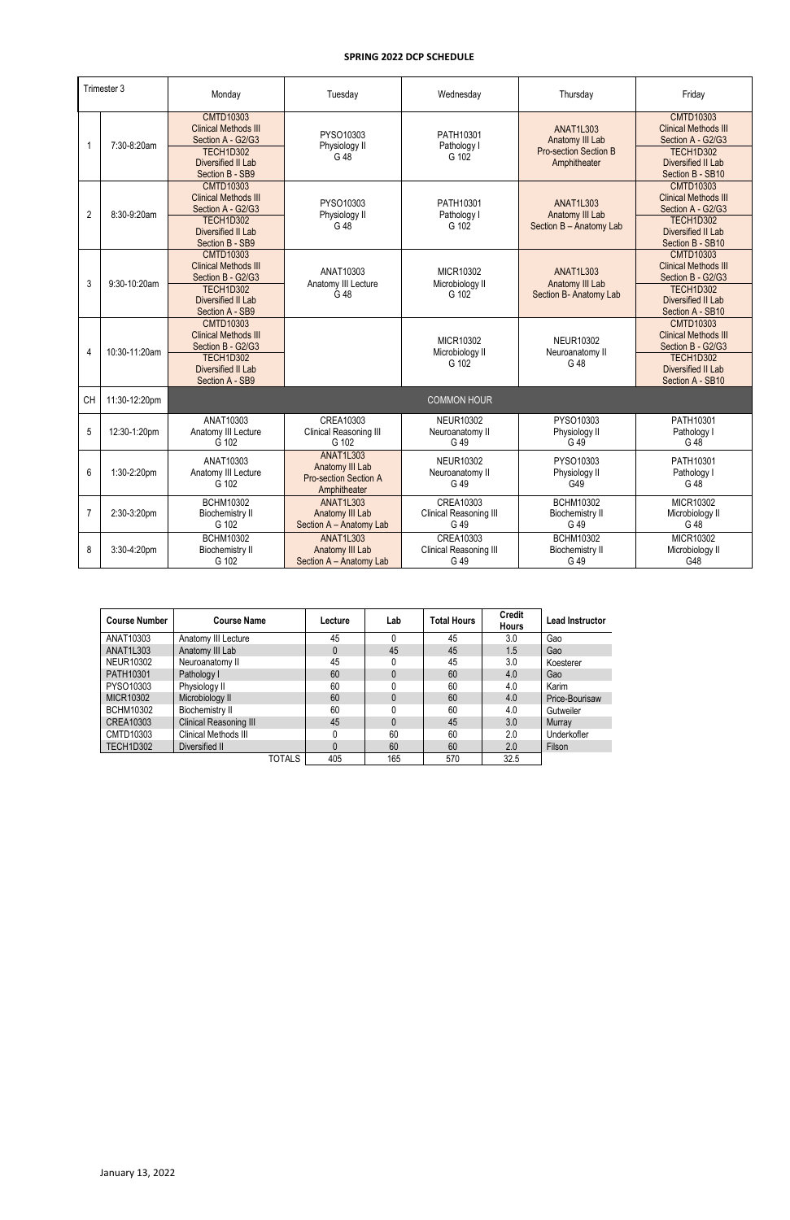|                | Trimester 3   | Monday                                                                                                                            | Tuesday                                                                             | Wednesday                                   | Thursday                                                                            | Friday                                                                                                                      |
|----------------|---------------|-----------------------------------------------------------------------------------------------------------------------------------|-------------------------------------------------------------------------------------|---------------------------------------------|-------------------------------------------------------------------------------------|-----------------------------------------------------------------------------------------------------------------------------|
| $\mathbf 1$    | 7:30-8:20am   | <b>CMTD10303</b><br><b>Clinical Methods III</b><br>Section A - G2/G3<br>TECH1D302<br>Diversified II Lab<br>Section B - SB9        | PYSO10303<br>Physiology II<br>G 48                                                  | PATH10301<br>Pathology I<br>G 102           | <b>ANAT1L303</b><br>Anatomy III Lab<br><b>Pro-section Section B</b><br>Amphitheater | <b>CMTD10303</b><br><b>Clinical Methods III</b><br>Section A - G2/G3<br>TECH1D302<br>Diversified II Lab<br>Section B - SB10 |
| $\overline{2}$ | 8:30-9:20am   | <b>CMTD10303</b><br><b>Clinical Methods III</b><br>Section A - G2/G3<br>TECH1D302<br>Diversified II Lab<br>Section B - SB9        | PYSO10303<br>Physiology II<br>G 48                                                  | PATH10301<br>Pathology I<br>G 102           | <b>ANAT1L303</b><br>Anatomy III Lab<br>Section B - Anatomy Lab                      | <b>CMTD10303</b><br><b>Clinical Methods III</b><br>Section A - G2/G3<br>TECH1D302<br>Diversified II Lab<br>Section B - SB10 |
| 3              | 9:30-10:20am  | <b>CMTD10303</b><br><b>Clinical Methods III</b><br>Section B - G2/G3<br>TECH1D302<br>Diversified II Lab<br>Section A - SB9        | ANAT10303<br>Anatomy III Lecture<br>G 48                                            | MICR10302<br>Microbiology II<br>G 102       | <b>ANAT1L303</b><br>Anatomy III Lab<br>Section B- Anatomy Lab                       | <b>CMTD10303</b><br><b>Clinical Methods III</b><br>Section B - G2/G3<br>TECH1D302<br>Diversified II Lab<br>Section A - SB10 |
| 4              | 10:30-11:20am | <b>CMTD10303</b><br><b>Clinical Methods III</b><br>Section B - G2/G3<br>TECH1D302<br><b>Diversified II Lab</b><br>Section A - SB9 |                                                                                     | MICR10302<br>Microbiology II<br>G 102       | <b>NEUR10302</b><br>Neuroanatomy II<br>G 48                                         | <b>CMTD10303</b><br><b>Clinical Methods III</b><br>Section B - G2/G3<br>TECH1D302<br>Diversified II Lab<br>Section A - SB10 |
| <b>CH</b>      | 11:30-12:20pm |                                                                                                                                   |                                                                                     | <b>COMMON HOUR</b>                          |                                                                                     |                                                                                                                             |
| 5              | 12:30-1:20pm  | ANAT10303<br>Anatomy III Lecture<br>G 102                                                                                         | CREA10303<br>Clinical Reasoning III<br>G 102                                        | <b>NEUR10302</b><br>Neuroanatomy II<br>G 49 | PYSO10303<br>Physiology II<br>G 49                                                  | PATH10301<br>Pathology I<br>G 48                                                                                            |
| 6              | 1:30-2:20pm   | ANAT10303<br>Anatomy III Lecture<br>G 102                                                                                         | <b>ANAT1L303</b><br>Anatomy III Lab<br><b>Pro-section Section A</b><br>Amphitheater | <b>NEUR10302</b><br>Neuroanatomy II<br>G 49 | PYSO10303<br>Physiology II<br>G49                                                   | PATH10301<br>Pathology I<br>G 48                                                                                            |
| $\overline{7}$ | 2:30-3:20pm   | <b>BCHM10302</b><br><b>Biochemistry II</b><br>G 102                                                                               | <b>ANAT1L303</b><br>Anatomy III Lab<br>Section A - Anatomy Lab                      | CREA10303<br>Clinical Reasoning III<br>G 49 | <b>BCHM10302</b><br><b>Biochemistry II</b><br>G 49                                  | MICR10302<br>Microbiology II<br>G 48                                                                                        |
| 8              | 3:30-4:20pm   | <b>BCHM10302</b><br><b>Biochemistry II</b><br>G 102                                                                               | <b>ANAT1L303</b><br>Anatomy III Lab<br>Section A - Anatomy Lab                      | CREA10303<br>Clinical Reasoning III<br>G 49 | <b>BCHM10302</b><br><b>Biochemistry II</b><br>G 49                                  | MICR10302<br>Microbiology II<br>G48                                                                                         |

| <b>Course Number</b> | <b>Course Name</b>     | Lecture | Lab      | <b>Total Hours</b> | <b>Credit</b><br><b>Hours</b> | <b>Lead Instructor</b> |
|----------------------|------------------------|---------|----------|--------------------|-------------------------------|------------------------|
| ANAT10303            | Anatomy III Lecture    | 45      |          | 45                 | 3.0                           | Gao                    |
| ANAT1L303            | Anatomy III Lab        | 0       | 45       | 45                 | 1.5                           | Gao                    |
| <b>NEUR10302</b>     | Neuroanatomy II        | 45      |          | 45                 | 3.0                           | Koesterer              |
| PATH10301            | Pathology I            | 60      | $\Omega$ | 60                 | 4.0                           | Gao                    |
| PYSO10303            | Physiology II          | 60      |          | 60                 | 4.0                           | Karim                  |
| <b>MICR10302</b>     | Microbiology II        | 60      |          | 60                 | 4.0                           | Price-Bourisaw         |
| <b>BCHM10302</b>     | <b>Biochemistry II</b> | 60      |          | 60                 | 4.0                           | Gutweiler              |
| CREA10303            | Clinical Reasoning III | 45      | $\Omega$ | 45                 | 3.0                           | Murray                 |
| CMTD10303            | Clinical Methods III   | 0       | 60       | 60                 | 2.0                           | Underkofler            |
| TECH1D302            | Diversified II         | 0       | 60       | 60                 | 2.0                           | Filson                 |
|                      | <b>TOTALS</b>          | 405     | 165      | 570                | 32.5                          |                        |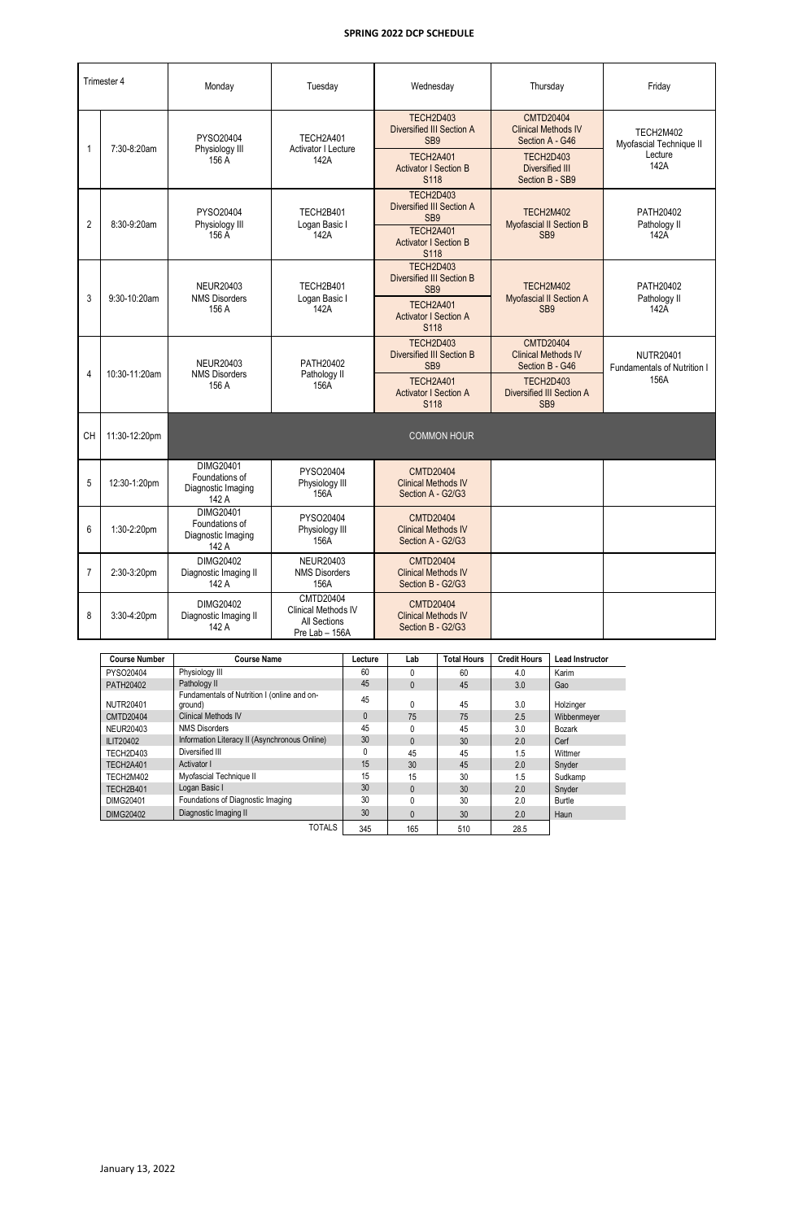| Trimester 4    |               | Monday                                                            | Tuesday                                                            | Wednesday                                                           | Thursday                                                          | Friday                                          |  |
|----------------|---------------|-------------------------------------------------------------------|--------------------------------------------------------------------|---------------------------------------------------------------------|-------------------------------------------------------------------|-------------------------------------------------|--|
|                | 7:30-8:20am   | PYSO20404<br>Physiology III                                       | TECH2A401<br><b>Activator I Lecture</b>                            | TECH2D403<br>Diversified III Section A<br>SB <sub>9</sub>           | <b>CMTD20404</b><br><b>Clinical Methods IV</b><br>Section A - G46 | TECH2M402<br>Myofascial Technique II            |  |
|                |               | 156 A                                                             | 142A                                                               | TECH2A401<br><b>Activator I Section B</b><br>S118                   | TECH2D403<br>Diversified III<br>Section B - SB9                   | Lecture<br>142A                                 |  |
| $\overline{2}$ | 8:30-9:20am   | PYSO20404<br>Physiology III                                       | TECH2B401<br>Logan Basic I                                         | TECH2D403<br><b>Diversified III Section A</b><br>SB <sub>9</sub>    | TECH2M402<br>Myofascial II Section B                              | PATH20402<br>Pathology II                       |  |
|                |               | 156 A                                                             | 142A                                                               | TECH2A401<br><b>Activator I Section B</b><br>S118                   | SB <sub>9</sub>                                                   | 142A                                            |  |
|                |               | <b>NEUR20403</b><br><b>NMS Disorders</b>                          | TECH2B401                                                          | TECH2D403<br><b>Diversified III Section B</b><br>SB <sub>9</sub>    | TECH2M402                                                         | PATH20402                                       |  |
| 3              | 9:30-10:20am  | 156 A                                                             | Logan Basic I<br>142A                                              | TECH2A401<br><b>Activator I Section A</b><br>S118                   | Myofascial II Section A<br>SB <sub>9</sub>                        | Pathology II<br>142A                            |  |
|                | 10:30-11:20am | <b>NEUR20403</b>                                                  | PATH20402                                                          | TECH2D403<br><b>Diversified III Section B</b><br>SB <sub>9</sub>    | <b>CMTD20404</b><br><b>Clinical Methods IV</b><br>Section B - G46 | <b>NUTR20401</b><br>Fundamentals of Nutrition I |  |
| $\overline{4}$ |               | <b>NMS Disorders</b><br>156 A                                     | Pathology II<br>156A                                               | <b>TECH2A401</b><br><b>Activator I Section A</b><br>S118            | TECH2D403<br><b>Diversified III Section A</b><br>SB <sub>9</sub>  | 156A                                            |  |
| CH             | 11:30-12:20pm |                                                                   |                                                                    | <b>COMMON HOUR</b>                                                  |                                                                   |                                                 |  |
| 5              | 12:30-1:20pm  | <b>DIMG20401</b><br>Foundations of<br>Diagnostic Imaging<br>142 A | PYSO20404<br>Physiology III<br>156A                                | <b>CMTD20404</b><br><b>Clinical Methods IV</b><br>Section A - G2/G3 |                                                                   |                                                 |  |
| 6              | 1:30-2:20pm   | DIMG20401<br>Foundations of<br>Diagnostic Imaging<br>142 A        | PYSO20404<br>Physiology III<br>156A                                | <b>CMTD20404</b><br><b>Clinical Methods IV</b><br>Section A - G2/G3 |                                                                   |                                                 |  |
| $\overline{7}$ | 2:30-3:20pm   | <b>DIMG20402</b><br>Diagnostic Imaging II<br>142 A                | <b>NEUR20403</b><br><b>NMS Disorders</b><br>156A                   | <b>CMTD20404</b><br><b>Clinical Methods IV</b><br>Section B - G2/G3 |                                                                   |                                                 |  |
| 8              | 3:30-4:20pm   | DIMG20402<br>Diagnostic Imaging II<br>142 A                       | CMTD20404<br>Clinical Methods IV<br>All Sections<br>Pre Lab - 156A | <b>CMTD20404</b><br><b>Clinical Methods IV</b><br>Section B - G2/G3 |                                                                   |                                                 |  |

| <b>Course Number</b> | <b>Course Name</b>                                     | Lecture      | Lab          | <b>Total Hours</b> | <b>Credit Hours</b> | <b>Lead Instructor</b> |
|----------------------|--------------------------------------------------------|--------------|--------------|--------------------|---------------------|------------------------|
| PYSO20404            | Physiology III                                         | 60           | 0            | 60                 | 4.0                 | Karim                  |
| PATH20402            | Pathology II                                           | 45           | $\mathbf{0}$ | 45                 | 3.0                 | Gao                    |
| <b>NUTR20401</b>     | Fundamentals of Nutrition I (online and on-<br>ground) | 45           | 0            | 45                 | 3.0                 | Holzinger              |
| <b>CMTD20404</b>     | <b>Clinical Methods IV</b>                             | $\mathbf{0}$ | 75           | 75                 | 2.5                 | Wibbenmever            |
| NEUR20403            | <b>NMS Disorders</b>                                   | 45           | 0            | 45                 | 3.0                 | Bozark                 |
| ILIT20402            | Information Literacy II (Asynchronous Online)          | 30           | $\mathbf{0}$ | 30                 | 2.0                 | Cerf                   |
| TECH2D403            | Diversified III                                        | 0            | 45           | 45                 | 1.5                 | Wittmer                |
| TECH2A401            | Activator I                                            | 15           | 30           | 45                 | 2.0                 | Snyder                 |
| TECH2M402            | Myofascial Technique II                                | 15           | 15           | 30                 | 1.5                 | Sudkamp                |
| TECH2B401            | Logan Basic I                                          | 30           | $\mathbf{0}$ | 30                 | 2.0                 | Snyder                 |
| DIMG20401            | Foundations of Diagnostic Imaging                      | 30           | 0            | 30                 | 2.0                 | Burtle                 |
| <b>DIMG20402</b>     | Diagnostic Imaging II                                  | 30           | $\mathbf{0}$ | 30                 | 2.0                 | Haun                   |
|                      | <b>TOTALS</b>                                          | 345          | 165          | 510                | 28.5                |                        |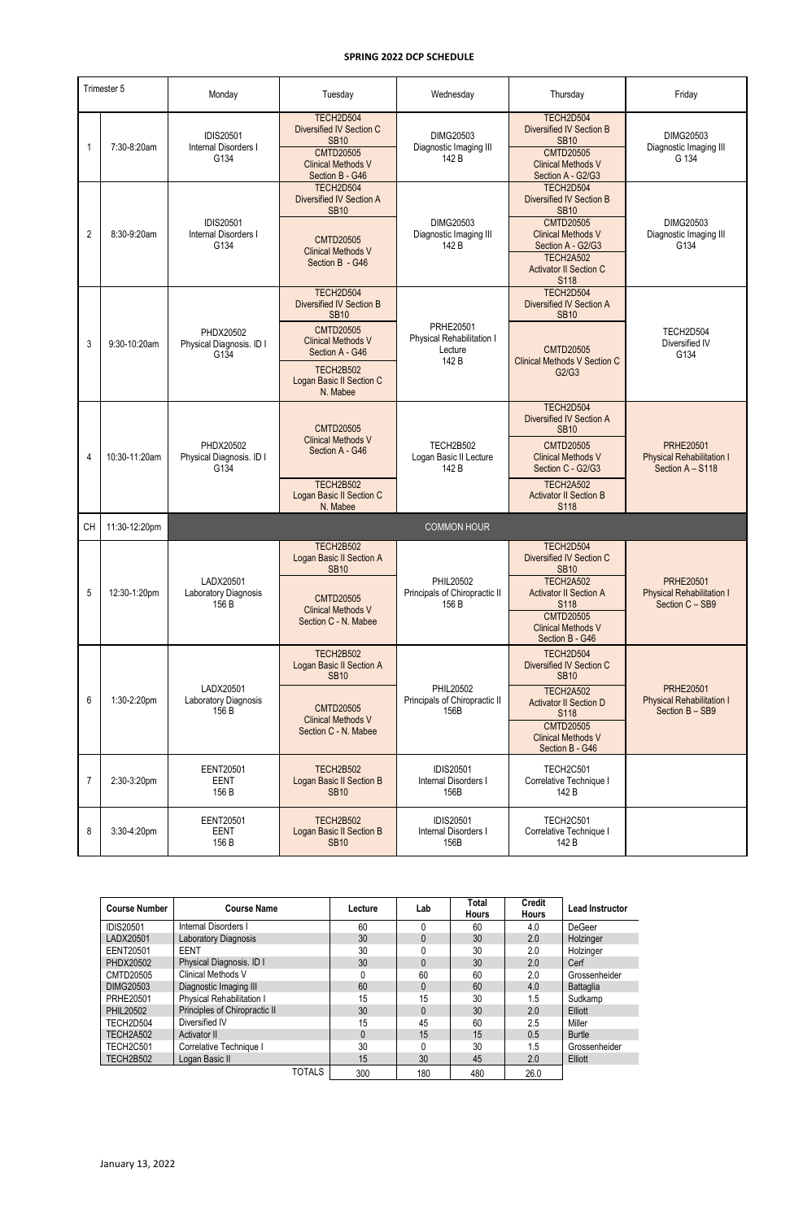| Trimester 5    |               | Monday                                           | Tuesday                                                                                                                                                                                     | Wednesday                                                         | Thursday                                                                                                                                                                                                   | Friday                                                                   |  |
|----------------|---------------|--------------------------------------------------|---------------------------------------------------------------------------------------------------------------------------------------------------------------------------------------------|-------------------------------------------------------------------|------------------------------------------------------------------------------------------------------------------------------------------------------------------------------------------------------------|--------------------------------------------------------------------------|--|
| 1              | 7:30-8:20am   | <b>IDIS20501</b><br>Internal Disorders I<br>G134 | TECH2D504<br>Diversified IV Section C<br><b>SB10</b><br><b>CMTD20505</b><br><b>Clinical Methods V</b><br>Section B - G46                                                                    | DIMG20503<br>Diagnostic Imaging III<br>142 B                      | TECH2D504<br><b>Diversified IV Section B</b><br><b>SB10</b><br><b>CMTD20505</b><br><b>Clinical Methods V</b><br>Section A - G2/G3                                                                          | DIMG20503<br>Diagnostic Imaging III<br>G 134                             |  |
| $\overline{2}$ | 8:30-9:20am   | <b>IDIS20501</b><br>Internal Disorders I<br>G134 | TECH2D504<br><b>Diversified IV Section A</b><br><b>SB10</b><br><b>CMTD20505</b><br><b>Clinical Methods V</b><br>Section B - G46                                                             | <b>DIMG20503</b><br>Diagnostic Imaging III<br>142 B               | TECH2D504<br><b>Diversified IV Section B</b><br><b>SB10</b><br><b>CMTD20505</b><br><b>Clinical Methods V</b><br>Section A - G2/G3<br><b>TECH2A502</b><br><b>Activator II Section C</b><br>S118             | DIMG20503<br>Diagnostic Imaging III<br>G134                              |  |
| 3              | 9:30-10:20am  | PHDX20502<br>Physical Diagnosis. ID I<br>G134    | TECH2D504<br><b>Diversified IV Section B</b><br><b>SB10</b><br><b>CMTD20505</b><br><b>Clinical Methods V</b><br>Section A - G46<br><b>TECH2B502</b><br>Logan Basic II Section C<br>N. Mabee | <b>PRHE20501</b><br>Physical Rehabilitation I<br>Lecture<br>142 B | TECH2D504<br>Diversified IV Section A<br><b>SB10</b><br><b>CMTD20505</b><br><b>Clinical Methods V Section C</b><br>G2/G3                                                                                   | TECH2D504<br>Diversified IV<br>G134                                      |  |
| 4              | 10:30-11:20am | PHDX20502<br>Physical Diagnosis. ID I<br>G134    | <b>CMTD20505</b><br><b>Clinical Methods V</b><br>Section A - G46<br><b>TECH2B502</b><br>Logan Basic II Section C<br>N. Mabee                                                                | <b>TECH2B502</b><br>Logan Basic II Lecture<br>142 B               | TECH2D504<br><b>Diversified IV Section A</b><br><b>SB10</b><br><b>CMTD20505</b><br><b>Clinical Methods V</b><br>Section C - G2/G3<br><b>TECH2A502</b><br><b>Activator II Section B</b><br>S <sub>118</sub> | <b>PRHE20501</b><br><b>Physical Rehabilitation I</b><br>Section A - S118 |  |
| СH             | 11:30-12:20pm |                                                  |                                                                                                                                                                                             | <b>COMMON HOUR</b>                                                |                                                                                                                                                                                                            |                                                                          |  |
| 5              | 12:30-1:20pm  | LADX20501<br>Laboratory Diagnosis<br>156 B       | <b>TECH2B502</b><br>Logan Basic II Section A<br><b>SB10</b><br><b>CMTD20505</b><br><b>Clinical Methods V</b><br>Section C - N. Mabee                                                        | PHIL20502<br>Principals of Chiropractic II<br>156 B               | TECH2D504<br>Diversified IV Section C<br><b>SB10</b><br><b>TECH2A502</b><br><b>Activator II Section A</b><br>S118<br><b>CMTD20505</b><br><b>Clinical Methods V</b><br>Section B - G46                      | <b>PRHE20501</b><br><b>Physical Rehabilitation I</b><br>Section C - SB9  |  |
| 6              | 1:30-2:20pm   | LADX20501<br>Laboratory Diagnosis<br>156 B       | <b>TECH2B502</b><br>Logan Basic II Section A<br><b>SB10</b><br><b>CMTD20505</b><br><b>Clinical Methods V</b><br>Section C - N. Mabee                                                        | PHIL20502<br>Principals of Chiropractic II<br>156B                | TECH2D504<br>Diversified IV Section C<br><b>SB10</b><br><b>TECH2A502</b><br><b>Activator II Section D</b><br><b>S118</b><br><b>CMTD20505</b><br><b>Clinical Methods V</b><br>Section B - G46               | <b>PRHE20501</b><br><b>Physical Rehabilitation I</b><br>Section B - SB9  |  |
| $\overline{7}$ | 2:30-3:20pm   | <b>EENT20501</b><br><b>EENT</b><br>156 B         | <b>TECH2B502</b><br>Logan Basic II Section B<br><b>SB10</b>                                                                                                                                 | <b>IDIS20501</b><br>Internal Disorders I<br>156B                  | TECH2C501<br>Correlative Technique I<br>142 B                                                                                                                                                              |                                                                          |  |
| 8              | 3:30-4:20pm   | <b>EENT20501</b><br><b>EENT</b><br>156 B         | <b>TECH2B502</b><br>Logan Basic II Section B<br><b>SB10</b>                                                                                                                                 | <b>IDIS20501</b><br>Internal Disorders I<br>156B                  | <b>TECH2C501</b><br>Correlative Technique I<br>142 B                                                                                                                                                       |                                                                          |  |

| <b>Course Number</b> | <b>Course Name</b>               | Lecture      | Lab          | <b>Total</b> | <b>Credit</b> | <b>Lead Instructor</b> |
|----------------------|----------------------------------|--------------|--------------|--------------|---------------|------------------------|
|                      |                                  |              |              | <b>Hours</b> | <b>Hours</b>  |                        |
| <b>IDIS20501</b>     | Internal Disorders I             | 60           |              | 60           | 4.0           | <b>DeGeer</b>          |
| LADX20501            | Laboratory Diagnosis             | 30           |              | 30           | 2.0           | Holzinger              |
| EENT20501            | EENT                             | 30           |              | 30           | 2.0           | Holzinger              |
| PHDX20502            | Physical Diagnosis. ID I         | 30           | 0            | 30           | 2.0           | Cerf                   |
| CMTD20505            | <b>Clinical Methods V</b>        | 0            | 60           | 60           | 2.0           | Grossenheider          |
| DIMG20503            | Diagnostic Imaging III           | 60           | $\mathbf{0}$ | 60           | 4.0           | <b>Battaglia</b>       |
| PRHE20501            | <b>Physical Rehabilitation I</b> | 15           | 15           | 30           | 1.5           | Sudkamp                |
| <b>PHIL20502</b>     | Principles of Chiropractic II    | 30           | $\Omega$     | 30           | 2.0           | Elliott                |
| TECH2D504            | Diversified IV                   | 15           | 45           | 60           | 2.5           | Miller                 |
| TECH2A502            | Activator II                     | $\mathbf{0}$ | 15           | 15           | 0.5           | <b>Burtle</b>          |
| <b>TECH2C501</b>     | Correlative Technique I          | 30           |              | 30           | 1.5           | Grossenheider          |
| TECH2B502            | Logan Basic II                   | 15           | 30           | 45           | 2.0           | Elliott                |
|                      | TOTALS                           | 300          | 180          | 480          | 26.0          |                        |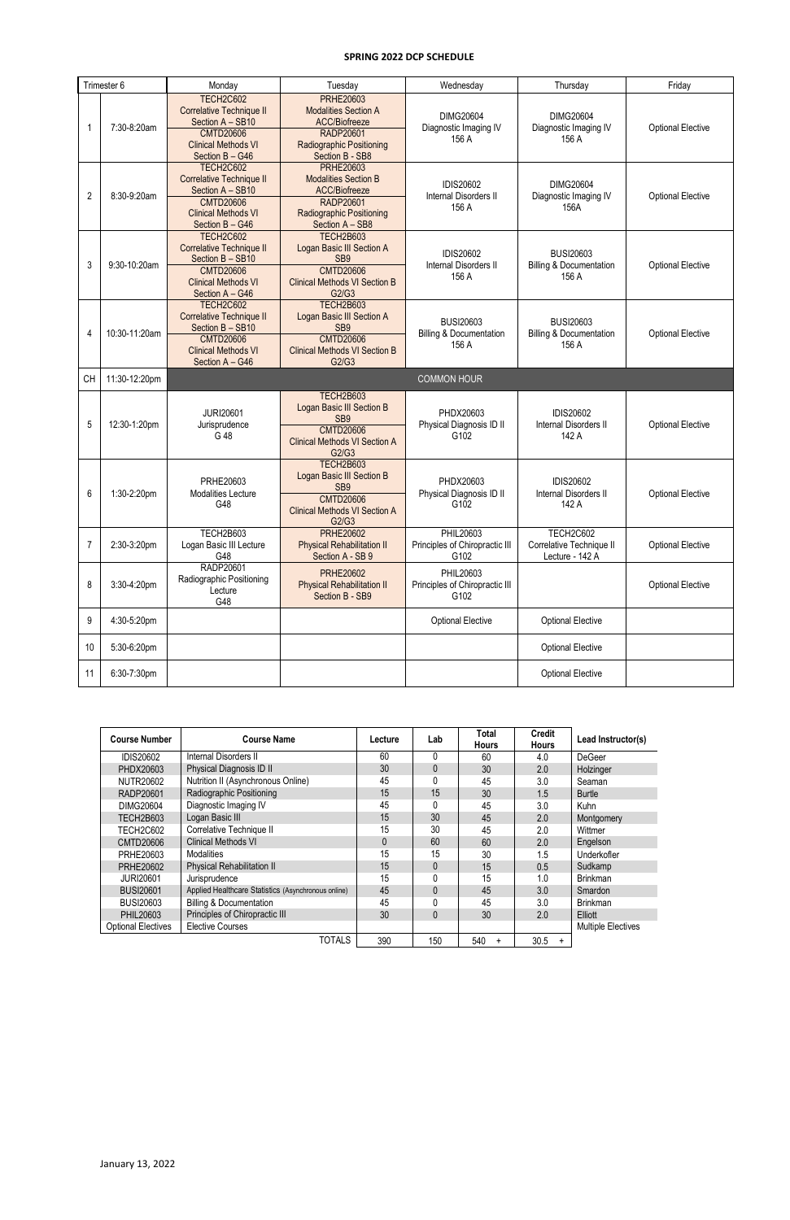| Trimester 6 |               | Monday                                                                                                                                       | Tuesday                                                                                                                                      | Wednesday                                                       | Thursday                                                        | Friday                   |
|-------------|---------------|----------------------------------------------------------------------------------------------------------------------------------------------|----------------------------------------------------------------------------------------------------------------------------------------------|-----------------------------------------------------------------|-----------------------------------------------------------------|--------------------------|
|             | 7:30-8:20am   | <b>TECH2C602</b><br><b>Correlative Technique II</b><br>Section A - SB10<br><b>CMTD20606</b><br><b>Clinical Methods VI</b><br>Section B - G46 | <b>PRHE20603</b><br><b>Modalities Section A</b><br>ACC/Biofreeze<br>RADP20601<br><b>Radiographic Positioning</b><br>Section B - SB8          | <b>DIMG20604</b><br>Diagnostic Imaging IV<br>156 A              | DIMG20604<br>Diagnostic Imaging IV<br>156 A                     | <b>Optional Elective</b> |
| 2           | 8:30-9:20am   | <b>TECH2C602</b><br><b>Correlative Technique II</b><br>Section A - SB10<br><b>CMTD20606</b><br><b>Clinical Methods VI</b><br>Section B - G46 | <b>PRHE20603</b><br><b>Modalities Section B</b><br>ACC/Biofreeze<br>RADP20601<br><b>Radiographic Positioning</b><br>Section A - SB8          | <b>IDIS20602</b><br>Internal Disorders II<br>156 A              | DIMG20604<br>Diagnostic Imaging IV<br>156A                      | <b>Optional Elective</b> |
| 3           | 9:30-10:20am  | <b>TECH2C602</b><br><b>Correlative Technique II</b><br>Section B - SB10<br><b>CMTD20606</b><br><b>Clinical Methods VI</b><br>Section A - G46 | <b>TECH2B603</b><br>Logan Basic III Section A<br>SB <sub>9</sub><br><b>CMTD20606</b><br><b>Clinical Methods VI Section B</b><br>G2/G3        | <b>IDIS20602</b><br>Internal Disorders II<br>156 A              | <b>BUSI20603</b><br><b>Billing &amp; Documentation</b><br>156 A | <b>Optional Elective</b> |
| 4           | 10:30-11:20am | <b>TECH2C602</b><br><b>Correlative Technique II</b><br>Section B - SB10<br><b>CMTD20606</b><br><b>Clinical Methods VI</b><br>Section A - G46 | TECH2B603<br>Logan Basic III Section A<br>SB <sub>9</sub><br><b>CMTD20606</b><br><b>Clinical Methods VI Section B</b><br>G2/G3               | <b>BUSI20603</b><br><b>Billing &amp; Documentation</b><br>156 A | <b>BUSI20603</b><br><b>Billing &amp; Documentation</b><br>156 A | <b>Optional Elective</b> |
| <b>CH</b>   | 11:30-12:20pm |                                                                                                                                              |                                                                                                                                              | <b>COMMON HOUR</b>                                              |                                                                 |                          |
| 5           | 12:30-1:20pm  | <b>JURI20601</b><br>Jurisprudence<br>G 48                                                                                                    | <b>TECH2B603</b><br><b>Logan Basic III Section B</b><br>SB <sub>9</sub><br><b>CMTD20606</b><br><b>Clinical Methods VI Section A</b><br>G2/G3 | PHDX20603<br>Physical Diagnosis ID II<br>G102                   | <b>IDIS20602</b><br>Internal Disorders II<br>142 A              | <b>Optional Elective</b> |
| 6           | 1:30-2:20pm   | PRHE20603<br>Modalities Lecture<br>G48                                                                                                       | TECH2B603<br>Logan Basic III Section B<br>SB <sub>9</sub><br><b>CMTD20606</b><br><b>Clinical Methods VI Section A</b><br>G2/G3               | PHDX20603<br>Physical Diagnosis ID II<br>G102                   | <b>IDIS20602</b><br>Internal Disorders II<br>142 A              | <b>Optional Elective</b> |
| 7           | 2:30-3:20pm   | TECH2B603<br>Logan Basic III Lecture<br>G48                                                                                                  | <b>PRHE20602</b><br><b>Physical Rehabilitation II</b><br>Section A - SB 9                                                                    | PHIL20603<br>Principles of Chiropractic III<br>G102             | TECH2C602<br>Correlative Technique II<br>Lecture - 142 A        | <b>Optional Elective</b> |
| 8           | 3:30-4:20pm   | RADP20601<br>Radiographic Positioning<br>Lecture<br>G48                                                                                      | <b>PRHE20602</b><br><b>Physical Rehabilitation II</b><br>Section B - SB9                                                                     | PHIL20603<br>Principles of Chiropractic III<br>G102             |                                                                 | <b>Optional Elective</b> |
| 9           | 4:30-5:20pm   |                                                                                                                                              |                                                                                                                                              | <b>Optional Elective</b>                                        | <b>Optional Elective</b>                                        |                          |
| 10          | 5:30-6:20pm   |                                                                                                                                              |                                                                                                                                              |                                                                 | <b>Optional Elective</b>                                        |                          |
| 11          | 6:30-7:30pm   |                                                                                                                                              |                                                                                                                                              |                                                                 | <b>Optional Elective</b>                                        |                          |

| <b>Course Number</b>      | <b>Course Name</b>                                  | Lecture      | Lab          | Total<br><b>Hours</b> | <b>Credit</b><br><b>Hours</b> | Lead Instructor(s)        |
|---------------------------|-----------------------------------------------------|--------------|--------------|-----------------------|-------------------------------|---------------------------|
| IDIS20602                 | Internal Disorders II                               | 60           | 0            | 60                    | 4.0                           | <b>DeGeer</b>             |
| PHDX20603                 | Physical Diagnosis ID II                            | 30           | $\Omega$     | 30                    | 2.0                           | Holzinger                 |
| NUTR20602                 | Nutrition II (Asynchronous Online)                  | 45           | 0            | 45                    | 3.0                           | Seaman                    |
| RADP20601                 | Radiographic Positioning                            | 15           | 15           | 30                    | 1.5                           | <b>Burtle</b>             |
| DIMG20604                 | Diagnostic Imaging IV                               | 45           | 0            | 45                    | 3.0                           | Kuhn                      |
| TECH2B603                 | Logan Basic III                                     | 15           | 30           | 45                    | 2.0                           | Montgomery                |
| TECH2C602                 | Correlative Technique II                            | 15           | 30           | 45                    | 2.0                           | Wittmer                   |
| CMTD20606                 | <b>Clinical Methods VI</b>                          | $\mathbf{0}$ | 60           | 60                    | 2.0                           | Engelson                  |
| PRHE20603                 | <b>Modalities</b>                                   | 15           | 15           | 30                    | 1.5                           | Underkofler               |
| PRHE20602                 | <b>Physical Rehabilitation II</b>                   | 15           | $\mathbf{0}$ | 15                    | 0.5                           | Sudkamp                   |
| <b>JURI20601</b>          | Jurisprudence                                       | 15           | 0            | 15                    | 1.0                           | <b>Brinkman</b>           |
| <b>BUSI20601</b>          | Applied Healthcare Statistics (Asynchronous online) | 45           | $\mathbf{0}$ | 45                    | 3.0                           | <b>Smardon</b>            |
| BUSI20603                 | <b>Billing &amp; Documentation</b>                  | 45           | 0            | 45                    | 3.0                           | <b>Brinkman</b>           |
| PHIL20603                 | Principles of Chiropractic III                      |              | $\mathbf{0}$ | 30                    | 2.0                           | Elliott                   |
| <b>Optional Electives</b> | <b>Elective Courses</b>                             |              |              |                       |                               | <b>Multiple Electives</b> |
|                           | TOTALS                                              | 390          | 150          | 540<br>$\ddot{}$      | 30.5<br>$+$                   |                           |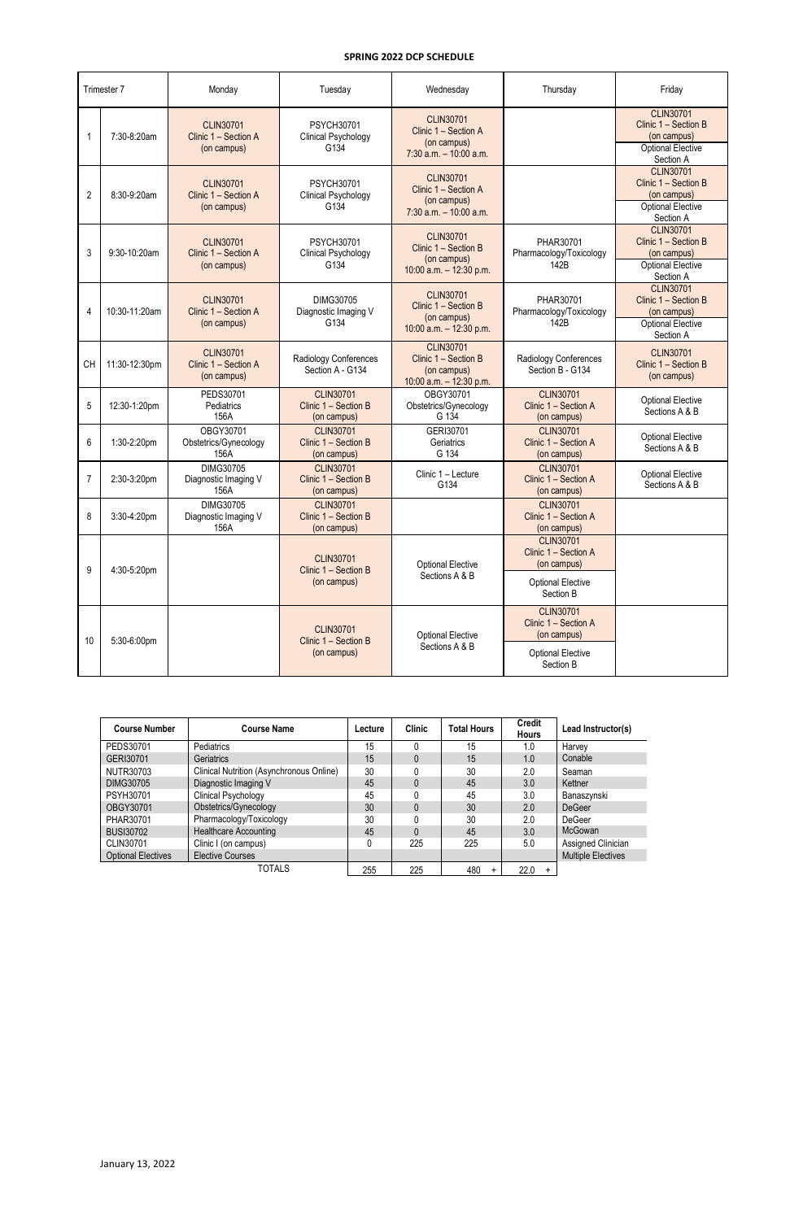| Trimester 7    |               | Monday                                                  | Tuesday                                                 | Wednesday                                                                            | Thursday                                                | Friday                                                                                           |
|----------------|---------------|---------------------------------------------------------|---------------------------------------------------------|--------------------------------------------------------------------------------------|---------------------------------------------------------|--------------------------------------------------------------------------------------------------|
|                | 7:30-8:20am   | <b>CLIN30701</b><br>Clinic 1 - Section A<br>(on campus) | <b>PSYCH30701</b><br><b>Clinical Psychology</b><br>G134 | <b>CLIN30701</b><br>Clinic 1 - Section A<br>(on campus)<br>$7:30$ a.m. $-10:00$ a.m. |                                                         | <b>CLIN30701</b><br>Clinic 1 - Section B<br>(on campus)<br><b>Optional Elective</b><br>Section A |
| 2              | 8:30-9:20am   | <b>CLIN30701</b><br>Clinic 1 - Section A<br>(on campus) | <b>PSYCH30701</b><br>Clinical Psychology<br>G134        | <b>CLIN30701</b><br>Clinic 1 - Section A<br>(on campus)<br>$7:30$ a.m. $-10:00$ a.m. |                                                         | <b>CLIN30701</b><br>Clinic 1 - Section B<br>(on campus)<br><b>Optional Elective</b><br>Section A |
| 3              | 9:30-10:20am  | <b>CLIN30701</b><br>Clinic 1 - Section A<br>(on campus) | <b>PSYCH30701</b><br><b>Clinical Psychology</b><br>G134 | <b>CLIN30701</b><br>Clinic 1 - Section B<br>(on campus)<br>10:00 a.m. $-$ 12:30 p.m. | PHAR30701<br>Pharmacology/Toxicology<br>142B            | <b>CLIN30701</b><br>Clinic 1 - Section B<br>(on campus)<br><b>Optional Elective</b><br>Section A |
| 4              | 10:30-11:20am | <b>CLIN30701</b><br>Clinic 1 - Section A<br>(on campus) | DIMG30705<br>Diagnostic Imaging V<br>G134               | <b>CLIN30701</b><br>Clinic 1 - Section B<br>(on campus)<br>10:00 a.m. $-$ 12:30 p.m. | PHAR30701<br>Pharmacology/Toxicology<br>142B            | <b>CLIN30701</b><br>Clinic 1 - Section B<br>(on campus)<br><b>Optional Elective</b><br>Section A |
| <b>CH</b>      | 11:30-12:30pm | <b>CLIN30701</b><br>Clinic 1 - Section A<br>(on campus) | Radiology Conferences<br>Section A - G134               | <b>CLIN30701</b><br>Clinic 1 - Section B<br>(on campus)<br>10:00 a.m. $-$ 12:30 p.m. | Radiology Conferences<br>Section B - G134               | <b>CLIN30701</b><br>Clinic 1 - Section B<br>(on campus)                                          |
| 5              | 12:30-1:20pm  | PEDS30701<br>Pediatrics<br>156A                         | <b>CLIN30701</b><br>Clinic 1 - Section B<br>(on campus) | OBGY30701<br>Obstetrics/Gynecology<br>G 134                                          | <b>CLIN30701</b><br>Clinic 1 - Section A<br>(on campus) | <b>Optional Elective</b><br>Sections A & B                                                       |
| 6              | 1:30-2:20pm   | OBGY30701<br>Obstetrics/Gynecology<br>156A              | <b>CLIN30701</b><br>Clinic 1 - Section B<br>(on campus) | GERI30701<br>Geriatrics<br>G 134                                                     | <b>CLIN30701</b><br>Clinic 1 - Section A<br>(on campus) | <b>Optional Elective</b><br>Sections A & B                                                       |
| $\overline{7}$ | 2:30-3:20pm   | DIMG30705<br>Diagnostic Imaging V<br>156A               | <b>CLIN30701</b><br>Clinic 1 - Section B<br>(on campus) | Clinic 1 - Lecture<br>G134                                                           | <b>CLIN30701</b><br>Clinic 1 - Section A<br>(on campus) | <b>Optional Elective</b><br>Sections A & B                                                       |
| 8              | 3:30-4:20pm   | DIMG30705<br>Diagnostic Imaging V<br>156A               | <b>CLIN30701</b><br>Clinic 1 - Section B<br>(on campus) |                                                                                      | <b>CLIN30701</b><br>Clinic 1 - Section A<br>(on campus) |                                                                                                  |
| 9              | 4:30-5:20pm   |                                                         | <b>CLIN30701</b><br>Clinic 1 - Section B                | <b>Optional Elective</b>                                                             | <b>CLIN30701</b><br>Clinic 1 - Section A<br>(on campus) |                                                                                                  |
|                |               |                                                         | (on campus)                                             | Sections A & B                                                                       | <b>Optional Elective</b><br>Section B                   |                                                                                                  |
|                |               |                                                         | <b>CLIN30701</b><br>Clinic 1 - Section B                | <b>Optional Elective</b>                                                             | <b>CLIN30701</b><br>Clinic 1 - Section A<br>(on campus) |                                                                                                  |
| 10             | 5:30-6:00pm   | (on campus)                                             |                                                         | Sections A & B                                                                       | <b>Optional Elective</b><br>Section B                   |                                                                                                  |

| <b>Course Number</b>      | <b>Course Name</b>                       | Lecture | <b>Clinic</b> | <b>Total Hours</b> | <b>Credit</b><br><b>Hours</b> | Lead Instructor(s)        |
|---------------------------|------------------------------------------|---------|---------------|--------------------|-------------------------------|---------------------------|
| PEDS30701                 | Pediatrics                               | 15      | 0             | 15                 | 1.0                           | Harvey                    |
| GERI30701                 | <b>Geriatrics</b>                        | 15      | $\Omega$      | 15                 | 1.0                           | Conable                   |
| NUTR30703                 | Clinical Nutrition (Asynchronous Online) | 30      |               | 30                 | 2.0                           | Seaman                    |
| DIMG30705                 | Diagnostic Imaging V                     | 45      | 0             | 45                 | 3.0                           | Kettner                   |
| <b>PSYH30701</b>          | Clinical Psychology                      | 45      | U             | 45                 | 3.0                           | Banaszynski               |
| OBGY30701                 | Obstetrics/Gynecology                    | 30      |               | 30                 | 2.0                           | <b>DeGeer</b>             |
| PHAR30701                 | Pharmacology/Toxicology                  | 30      | 0             | 30                 | 2.0                           | DeGeer                    |
| <b>BUSI30702</b>          | <b>Healthcare Accounting</b>             | 45      | 0             | 45                 | 3.0                           | McGowan                   |
| CLIN30701                 | Clinic I (on campus)                     |         | 225           | 225                | 5.0                           | Assigned Clinician        |
| <b>Optional Electives</b> | <b>Elective Courses</b>                  |         |               |                    |                               | <b>Multiple Electives</b> |
|                           | TOTALS                                   | 255     | 225           | 480                | 22.0<br>$+$                   |                           |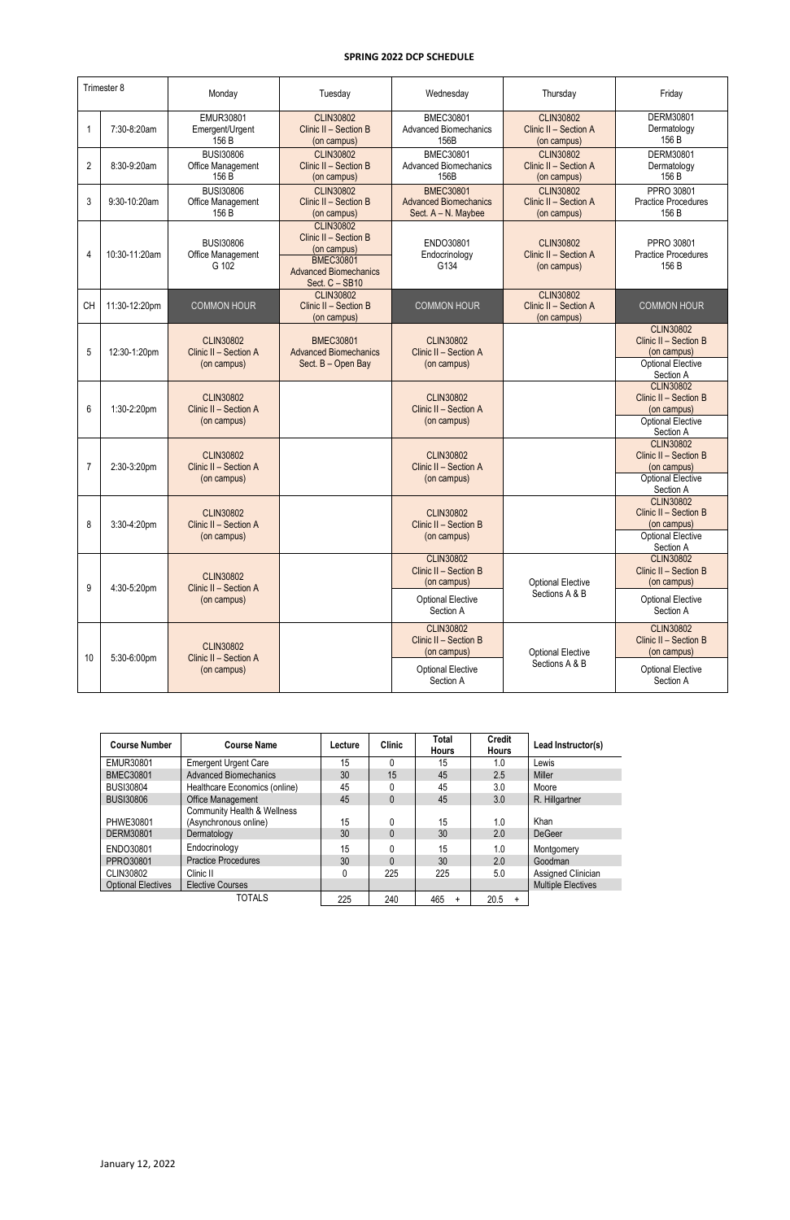| Trimester 8    |               | Monday                                                   | Tuesday                                                                                                                        | Wednesday                                                               | Thursday                                                 | Friday                                                                                                         |
|----------------|---------------|----------------------------------------------------------|--------------------------------------------------------------------------------------------------------------------------------|-------------------------------------------------------------------------|----------------------------------------------------------|----------------------------------------------------------------------------------------------------------------|
|                | 7:30-8:20am   | EMUR30801<br>Emergent/Urgent<br>156 B                    | <b>CLIN30802</b><br>Clinic II - Section B<br>(on campus)                                                                       | <b>BMEC30801</b><br><b>Advanced Biomechanics</b><br>156B                | <b>CLIN30802</b><br>Clinic II - Section A<br>(on campus) | DERM30801<br>Dermatology<br>156 B                                                                              |
| $\overline{2}$ | 8:30-9:20am   | <b>BUSI30806</b><br>Office Management<br>156 B           | <b>CLIN30802</b><br>Clinic II - Section B<br>(on campus)                                                                       | <b>BMEC30801</b><br><b>Advanced Biomechanics</b><br>156B                | <b>CLIN30802</b><br>Clinic II - Section A<br>(on campus) | DERM30801<br>Dermatology<br>156 B                                                                              |
| 3              | 9:30-10:20am  | <b>BUSI30806</b><br>Office Management<br>156 B           | <b>CLIN30802</b><br>Clinic II - Section B<br>(on campus)                                                                       | <b>BMEC30801</b><br><b>Advanced Biomechanics</b><br>Sect. A - N. Maybee | <b>CLIN30802</b><br>Clinic II - Section A<br>(on campus) | PPRO 30801<br><b>Practice Procedures</b><br>156 B                                                              |
| 4              | 10:30-11:20am | <b>BUSI30806</b><br>Office Management<br>G 102           | <b>CLIN30802</b><br>Clinic II - Section B<br>(on campus)<br><b>BMEC30801</b><br><b>Advanced Biomechanics</b><br>Sect. C - SB10 | ENDO30801<br>Endocrinology<br>G134                                      | <b>CLIN30802</b><br>Clinic II - Section A<br>(on campus) | PPRO 30801<br><b>Practice Procedures</b><br>156 B                                                              |
| <b>CH</b>      | 11:30-12:20pm | <b>COMMON HOUR</b>                                       | <b>CLIN30802</b><br>Clinic II - Section B<br>(on campus)                                                                       | <b>COMMON HOUR</b>                                                      | <b>CLIN30802</b><br>Clinic II - Section A<br>(on campus) | <b>COMMON HOUR</b>                                                                                             |
| 5              | 12:30-1:20pm  | <b>CLIN30802</b><br>Clinic II - Section A<br>(on campus) | <b>BMEC30801</b><br><b>Advanced Biomechanics</b><br>Sect. B - Open Bay                                                         | <b>CLIN30802</b><br>Clinic II - Section A<br>(on campus)                |                                                          | <b>CLIN30802</b><br>Clinic II - Section B<br>(on campus)<br><b>Optional Elective</b><br>Section A              |
| 6              | 1:30-2:20pm   | <b>CLIN30802</b><br>Clinic II - Section A<br>(on campus) |                                                                                                                                | <b>CLIN30802</b><br>Clinic II - Section A<br>(on campus)                |                                                          | <b>CLIN30802</b><br>Clinic II - Section B<br>(on campus)<br><b>Optional Elective</b>                           |
| $\overline{7}$ | 2:30-3:20pm   | <b>CLIN30802</b><br>Clinic II - Section A<br>(on campus) |                                                                                                                                | <b>CLIN30802</b><br>Clinic II - Section A<br>(on campus)                |                                                          | Section A<br><b>CLIN30802</b><br>Clinic II - Section B<br>(on campus)<br><b>Optional Elective</b><br>Section A |
| 8              | 3:30-4:20pm   | <b>CLIN30802</b><br>Clinic II - Section A<br>(on campus) |                                                                                                                                | <b>CLIN30802</b><br>Clinic II - Section B<br>(on campus)                |                                                          | <b>CLIN30802</b><br>Clinic II - Section B<br>(on campus)<br><b>Optional Elective</b><br>Section A              |
| 9              |               | <b>CLIN30802</b>                                         |                                                                                                                                | <b>CLIN30802</b><br>Clinic II - Section B<br>(on campus)                | <b>Optional Elective</b>                                 | <b>CLIN30802</b><br>Clinic II - Section B<br>(on campus)                                                       |
|                | 4:30-5:20pm   | Clinic II - Section A<br>(on campus)                     |                                                                                                                                | <b>Optional Elective</b><br>Section A                                   | Sections A & B                                           | <b>Optional Elective</b><br>Section A                                                                          |
| 10             |               | <b>CLIN30802</b>                                         |                                                                                                                                | <b>CLIN30802</b><br>Clinic II - Section B<br>(on campus)                | <b>Optional Elective</b>                                 | <b>CLIN30802</b><br>Clinic II - Section B<br>(on campus)                                                       |
|                | 5:30-6:00pm   | Clinic II - Section A<br>(on campus)                     |                                                                                                                                | <b>Optional Elective</b><br>Section A                                   | Sections A & B                                           | <b>Optional Elective</b><br>Section A                                                                          |

| <b>Course Number</b>      | <b>Course Name</b>                                   | Lecture | <b>Clinic</b> | Total<br><b>Hours</b> | <b>Credit</b><br><b>Hours</b> | Lead Instructor(s)        |
|---------------------------|------------------------------------------------------|---------|---------------|-----------------------|-------------------------------|---------------------------|
| EMUR30801                 | <b>Emergent Urgent Care</b>                          | 15      | $\Omega$      | 15                    | 1.0                           | Lewis                     |
| <b>BMEC30801</b>          | <b>Advanced Biomechanics</b>                         | 30      | 15            | 45                    | 2.5                           | <b>Miller</b>             |
| <b>BUSI30804</b>          | Healthcare Economics (online)                        | 45      |               | 45                    | 3.0                           | Moore                     |
| <b>BUSI30806</b>          | Office Management                                    | 45      | $\mathbf{0}$  | 45                    | 3.0                           | R. Hillgartner            |
| PHWE30801                 | Community Health & Wellness<br>(Asynchronous online) | 15      |               | 15                    | 1.0                           | Khan                      |
| DERM30801                 | Dermatology                                          | 30      | $\Omega$      | 30                    | 2.0                           | <b>DeGeer</b>             |
| ENDO30801                 | Endocrinology                                        | 15      | 0             | 15                    | 1.0                           | Montgomery                |
| PPRO30801                 | <b>Practice Procedures</b>                           | 30      | $\Omega$      | 30                    | 2.0                           | Goodman                   |
| CLIN30802                 | Clinic II                                            |         | 225           | 225                   | 5.0                           | Assigned Clinician        |
| <b>Optional Electives</b> | <b>Elective Courses</b>                              |         |               |                       |                               | <b>Multiple Electives</b> |

| TOTALS<br>225 | 240 | 465 | 20.5 |
|---------------|-----|-----|------|
|---------------|-----|-----|------|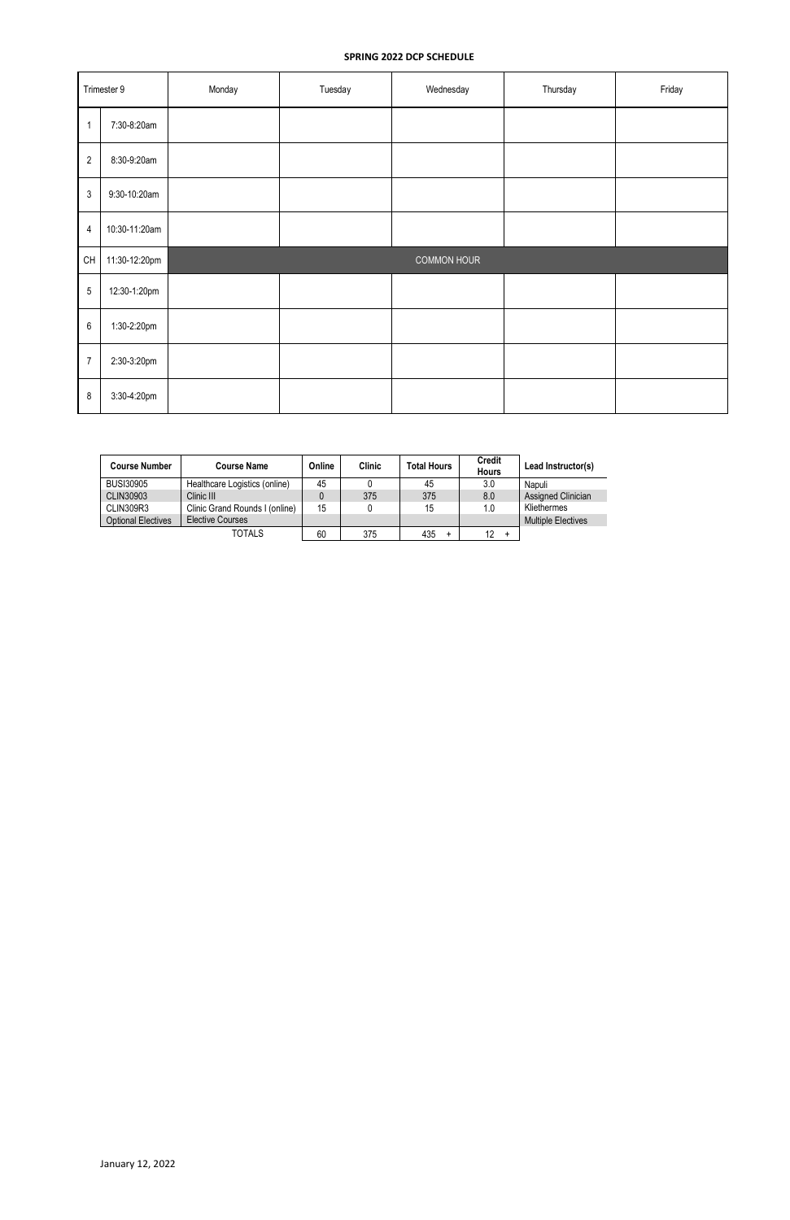| Trimester 9              |               | Monday | Tuesday | Wednesday<br>Thursday |  | Friday |
|--------------------------|---------------|--------|---------|-----------------------|--|--------|
| $\overline{\phantom{a}}$ | 7:30-8:20am   |        |         |                       |  |        |
| $\overline{2}$           | 8:30-9:20am   |        |         |                       |  |        |
| $\sqrt{3}$               | 9:30-10:20am  |        |         |                       |  |        |
| $\overline{4}$           | 10:30-11:20am |        |         |                       |  |        |
| CH                       | 11:30-12:20pm |        |         | COMMON HOUR           |  |        |
| $\sqrt{5}$               | 12:30-1:20pm  |        |         |                       |  |        |
| $\,6\,$                  | 1:30-2:20pm   |        |         |                       |  |        |
| $\overline{7}$           | 2:30-3:20pm   |        |         |                       |  |        |
| $\bf 8$                  | 3:30-4:20pm   |        |         |                       |  |        |

| <b>Course Number</b>      | <b>Course Name</b>             | Online | <b>Clinic</b> | <b>Total Hours</b> | <b>Credit</b><br><b>Hours</b> | Lead Instructor(s)        |
|---------------------------|--------------------------------|--------|---------------|--------------------|-------------------------------|---------------------------|
| <b>BUSI30905</b>          | Healthcare Logistics (online)  | 45     |               | 45                 | 3.0                           | Napuli                    |
| CLIN30903                 | Clinic III                     | 0      | 375           | 375                | 8.0                           | Assigned Clinician        |
| CLIN309R3                 | Clinic Grand Rounds I (online) | 15     | $\mathbf{0}$  | 15                 | 1.0                           | Kliethermes               |
| <b>Optional Electives</b> | <b>Elective Courses</b>        |        |               |                    |                               | <b>Multiple Electives</b> |
|                           | <b>TOTALS</b>                  | 60     | 375           | 435<br>+           | 12                            |                           |